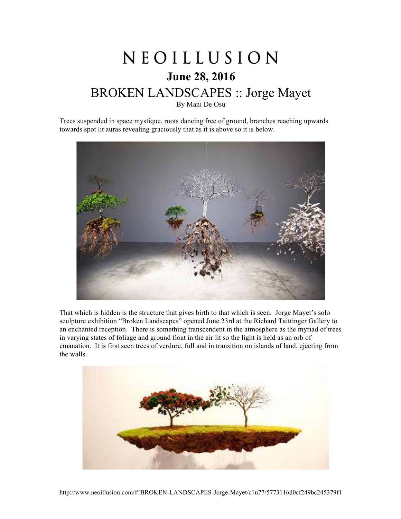## NEOILLUSION **June 28, 2016** BROKEN LANDSCAPES :: Jorge Mayet By Mani De Osu

Trees suspended in space mystique, roots dancing free of ground, branches reaching upwards towards spot lit auras revealing graciously that as it is above so it is below.



That which is hidden is the structure that gives birth to that which is seen. Jorge Mayet's solo sculpture exhibition "Broken Landscapes" opened June 23rd at the Richard Taittinger Gallery to an enchanted reception. There is something transcendent in the atmosphere as the myriad of trees in varying states of foliage and ground float in the air lit so the light is held as an orb of emanation. It is first seen trees of verdure, full and in transition on islands of land, ejecting from the walls.

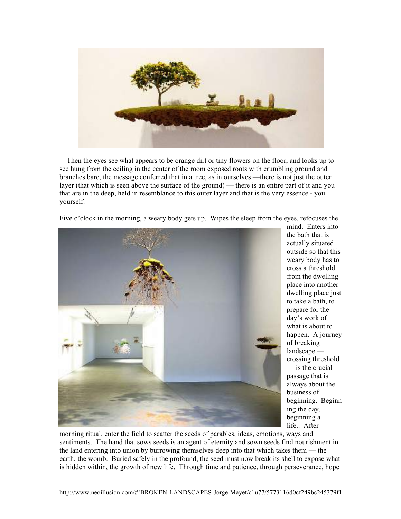

Then the eyes see what appears to be orange dirt or tiny flowers on the floor, and looks up to see hung from the ceiling in the center of the room exposed roots with crumbling ground and branches bare, the message conferred that in a tree, as in ourselves —there is not just the outer layer (that which is seen above the surface of the ground) — there is an entire part of it and you that are in the deep, held in resemblance to this outer layer and that is the very essence - you yourself.

Five o'clock in the morning, a weary body gets up. Wipes the sleep from the eyes, refocuses the



mind. Enters into the bath that is actually situated outside so that this weary body has to cross a threshold from the dwelling place into another dwelling place just to take a bath, to prepare for the day's work of what is about to happen. A journey of breaking landscape crossing threshold — is the crucial passage that is always about the business of beginning. Beginn ing the day, beginning a life.. After

morning ritual, enter the field to scatter the seeds of parables, ideas, emotions, ways and sentiments. The hand that sows seeds is an agent of eternity and sown seeds find nourishment in the land entering into union by burrowing themselves deep into that which takes them — the earth, the womb. Buried safely in the profound, the seed must now break its shell to expose what is hidden within, the growth of new life. Through time and patience, through perseverance, hope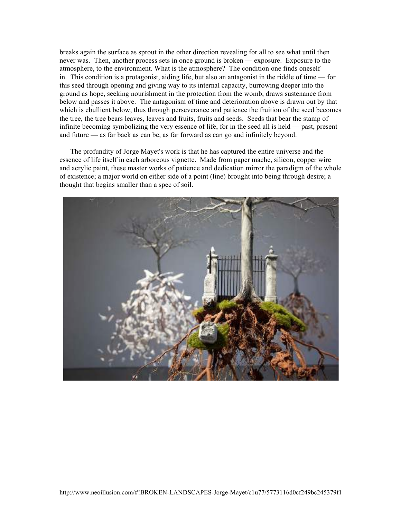breaks again the surface as sprout in the other direction revealing for all to see what until then never was. Then, another process sets in once ground is broken — exposure. Exposure to the atmosphere, to the environment. What is the atmosphere? The condition one finds oneself in. This condition is a protagonist, aiding life, but also an antagonist in the riddle of time — for this seed through opening and giving way to its internal capacity, burrowing deeper into the ground as hope, seeking nourishment in the protection from the womb, draws sustenance from below and passes it above. The antagonism of time and deterioration above is drawn out by that which is ebullient below, thus through perseverance and patience the fruition of the seed becomes the tree, the tree bears leaves, leaves and fruits, fruits and seeds. Seeds that bear the stamp of infinite becoming symbolizing the very essence of life, for in the seed all is held — past, present and future — as far back as can be, as far forward as can go and infinitely beyond.

The profundity of Jorge Mayet's work is that he has captured the entire universe and the essence of life itself in each arboreous vignette. Made from paper mache, silicon, copper wire and acrylic paint, these master works of patience and dedication mirror the paradigm of the whole of existence; a major world on either side of a point (line) brought into being through desire; a thought that begins smaller than a spec of soil.

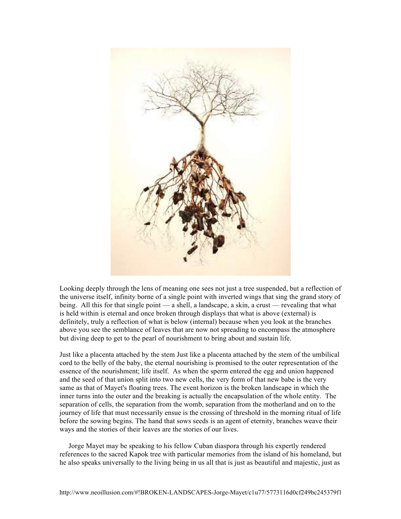

Looking deeply through the lens of meaning one sees not just a tree suspended, but a reflection of the universe itself, infinity borne of a single point with inverted wings that sing the grand story of being. All this for that single point — a shell, a landscape, a skin, a crust — revealing that what is held within is eternal and once broken through displays that what is above (external) is definitely, truly a reflection of what is below (internal) because when you look at the branches above you see the semblance of leaves that are now not spreading to encompass the atmosphere but diving deep to get to the pearl of nourishment to bring about and sustain life.

Just like a placenta attached by the stem Just like a placenta attached by the stem of the umbilical cord to the belly of the baby, the eternal nourishing is promised to the outer representation of the essence of the nourishment; life itself. As when the sperm entered the egg and union happened and the seed of that union split into two new cells, the very form of that new babe is the very same as that of Mayet's floating trees. The event horizon is the broken landscape in which the inner turns into the outer and the breaking is actually the encapsulation of the whole entity. The separation of cells, the separation from the womb, separation from the motherland and on to the journey of life that must necessarily ensue is the crossing of threshold in the morning ritual of life before the sowing begins. The hand that sows seeds is an agent of eternity, branches weave their ways and the stories of their leaves are the stories of our lives.

Jorge Mayet may be speaking to his fellow Cuban diaspora through his expertly rendered references to the sacred Kapok tree with particular memories from the island of his homeland, but he also speaks universally to the living being in us all that is just as beautiful and majestic, just as